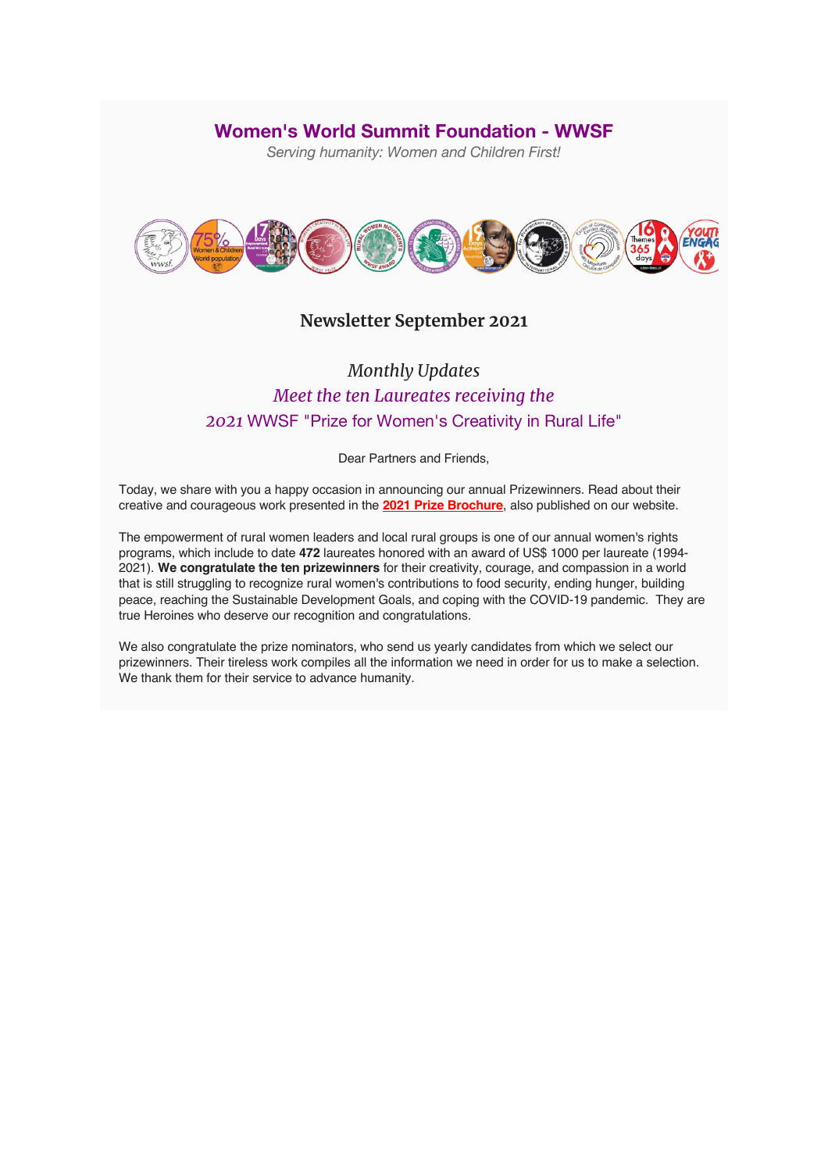### **Women's World Summit Foundation - WWSF**

*Serving humanity: Women and Children First!*



## **Newsletter September 2021**

## *Monthly Updates Meet the ten Laureates receiving the 2021* WWSF "Prize for Women's Creativity in Rural Life"

Dear Partners and Friends,

Today, we share with you a happy occasion in announcing our annual Prizewinners. Read about their creative and courageous work presented in the **2021 Prize Brochure**, also published on our website.

The empowerment of rural women leaders and local rural groups is one of our annual women's rights programs, which include to date **472** laureates honored with an award of US\$ 1000 per laureate (1994- 2021). **We congratulate the ten prizewinners** for their creativity, courage, and compassion in a world that is still struggling to recognize rural women's contributions to food security, ending hunger, building peace, reaching the Sustainable Development Goals, and coping with the COVID-19 pandemic. They are true Heroines who deserve our recognition and congratulations.

We also congratulate the prize nominators, who send us yearly candidates from which we select our prizewinners. Their tireless work compiles all the information we need in order for us to make a selection. We thank them for their service to advance humanity.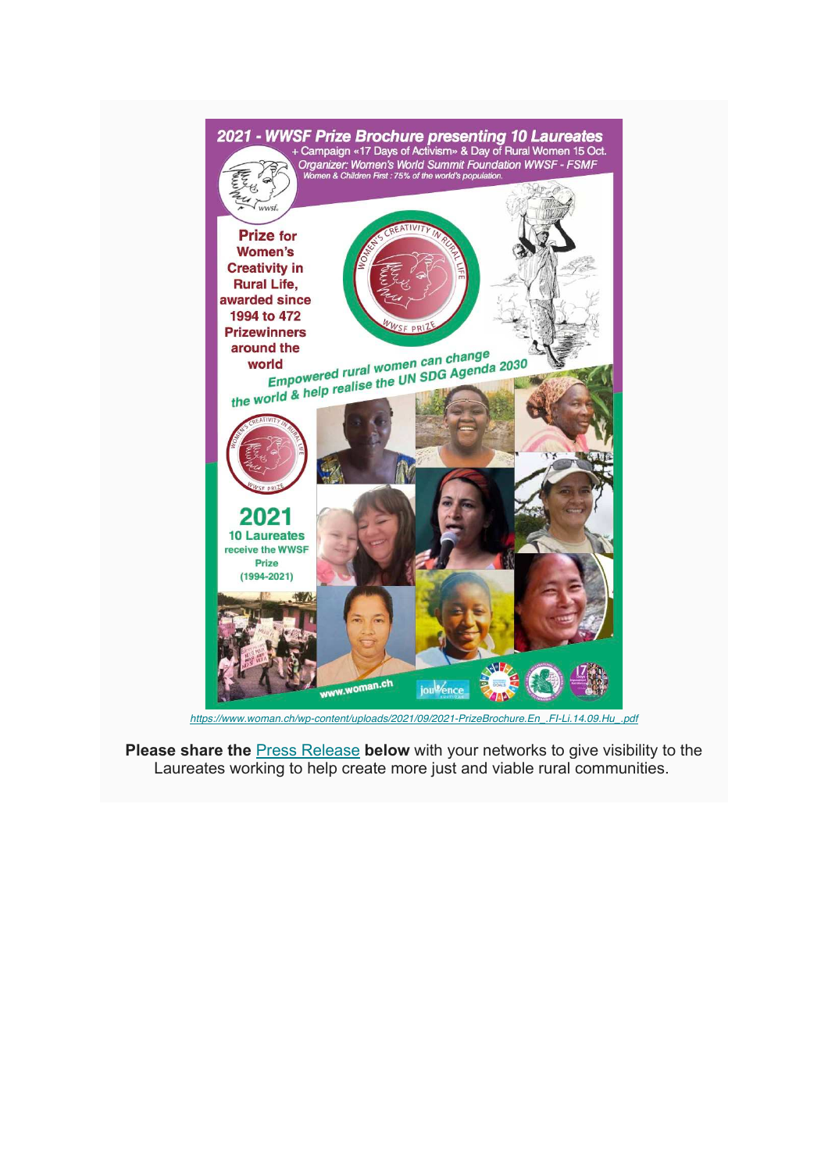

*https://www.woman.ch/wp-content/uploads/2021/09/2021-PrizeBrochure.En\_.FI-Li.14.09.Hu\_.pdf*

**Please share the <b>Press Release** below with your networks to give visibility to the Laureates working to help create more just and viable rural communities.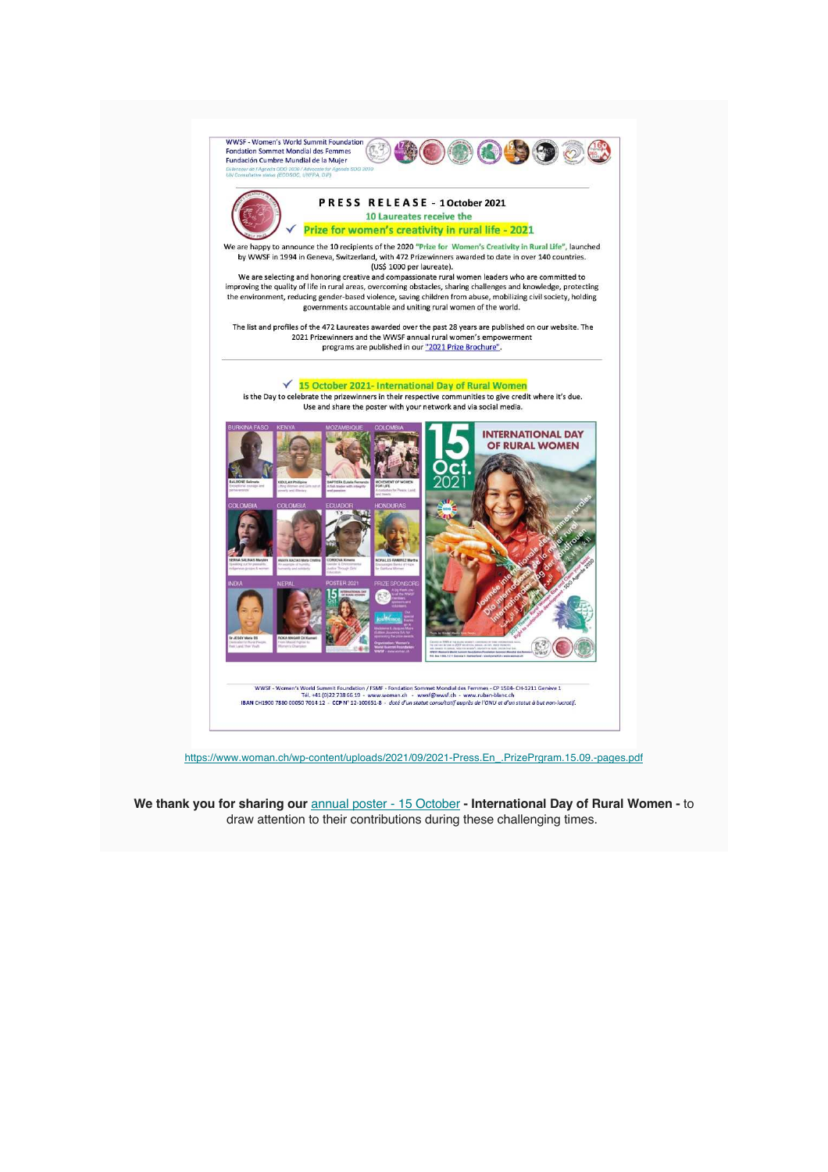

https://www.woman.ch/wp-content/uploads/2021/09/2021-Press.En\_.PrizePrgram.15.09.-pages.pdf

We thank you for sharing our **annual poster** - 15 October - International Day of Rural Women - to draw attention to their contributions during these challenging times.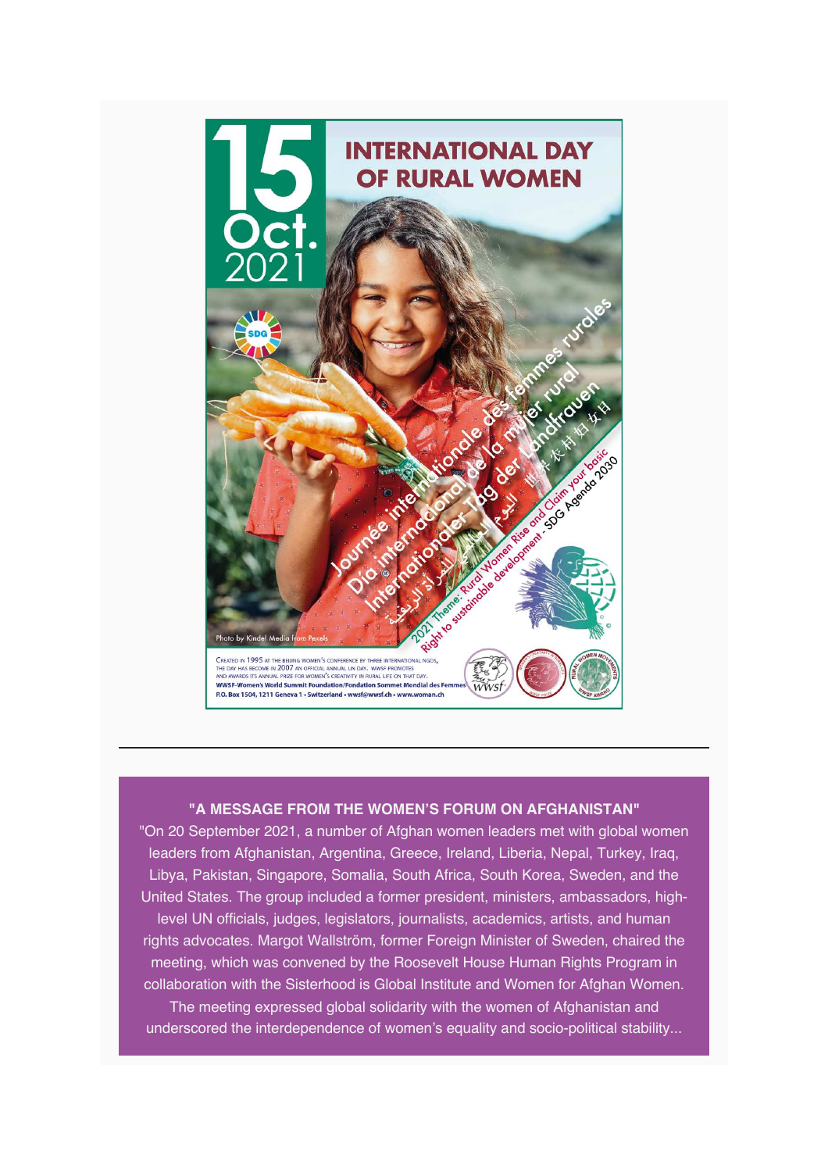

#### **"A MESSAGE FROM THE WOMEN'S FORUM ON AFGHANISTAN"**

"On 20 September 2021, a number of Afghan women leaders met with global women leaders from Afghanistan, Argentina, Greece, Ireland, Liberia, Nepal, Turkey, Iraq, Libya, Pakistan, Singapore, Somalia, South Africa, South Korea, Sweden, and the United States. The group included a former president, ministers, ambassadors, highlevel UN officials, judges, legislators, journalists, academics, artists, and human rights advocates. Margot Wallström, former Foreign Minister of Sweden, chaired the meeting, which was convened by the Roosevelt House Human Rights Program in collaboration with the Sisterhood is Global Institute and Women for Afghan Women. The meeting expressed global solidarity with the women of Afghanistan and

underscored the interdependence of women's equality and socio-political stability...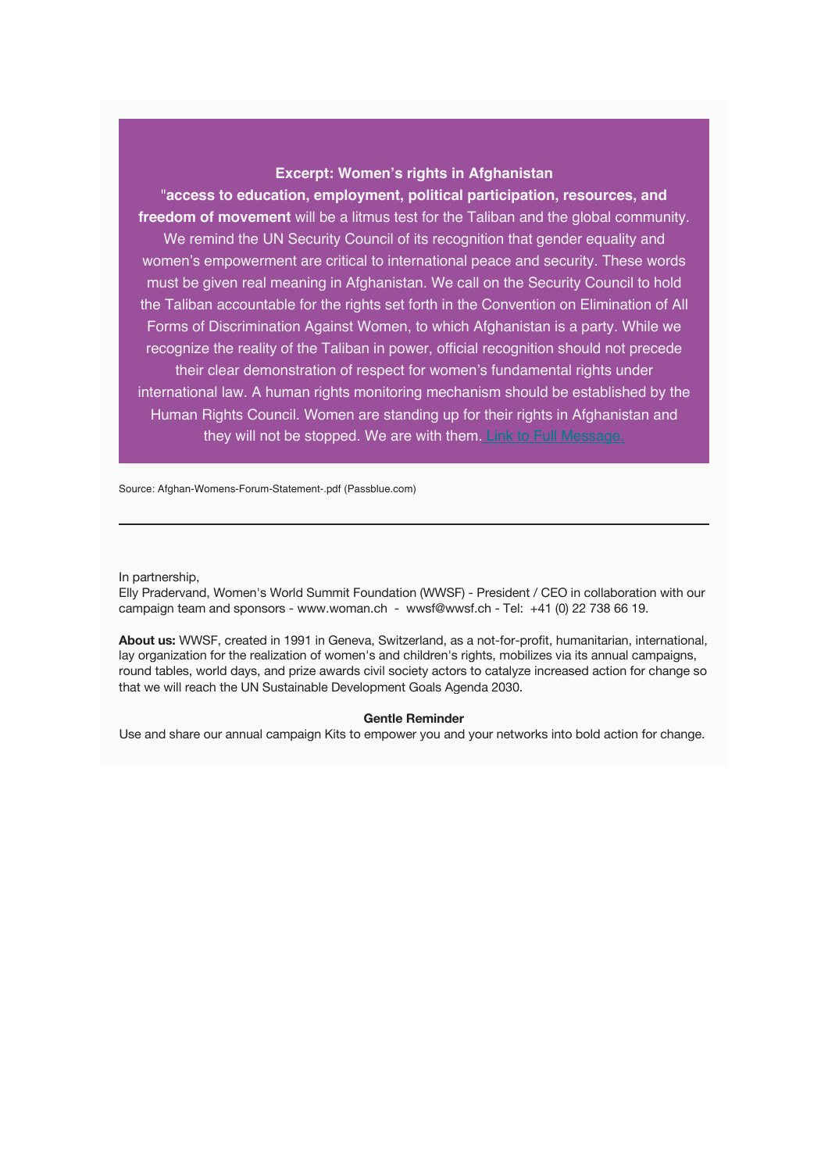#### **Excerpt: Women's rights in Afghanistan**

"**access to education, employment, political participation, resources, and freedom of movement** will be a litmus test for the Taliban and the global community. We remind the UN Security Council of its recognition that gender equality and women's empowerment are critical to international peace and security. These words must be given real meaning in Afghanistan. We call on the Security Council to hold the Taliban accountable for the rights set forth in the Convention on Elimination of All Forms of Discrimination Against Women, to which Afghanistan is a party. While we recognize the reality of the Taliban in power, official recognition should not precede their clear demonstration of respect for women's fundamental rights under international law. A human rights monitoring mechanism should be established by the Human Rights Council. Women are standing up for their rights in Afghanistan and they will not be stopped. We are with them. Link to Full Message.

Source: Afghan-Womens-Forum-Statement-.pdf (Passblue.com)

In partnership,

Elly Pradervand, Women's World Summit Foundation (WWSF) - President / CEO in collaboration with our campaign team and sponsors - www.woman.ch - wwsf@wwsf.ch - Tel: +41 (0) 22 738 66 19.

**About us:** WWSF, created in 1991 in Geneva, Switzerland, as a not-for-profit, humanitarian, international, lay organization for the realization of women's and children's rights, mobilizes via its annual campaigns, round tables, world days, and prize awards civil society actors to catalyze increased action for change so that we will reach the UN Sustainable Development Goals Agenda 2030.

#### **Gentle Reminder**

Use and share our annual campaign Kits to empower you and your networks into bold action for change.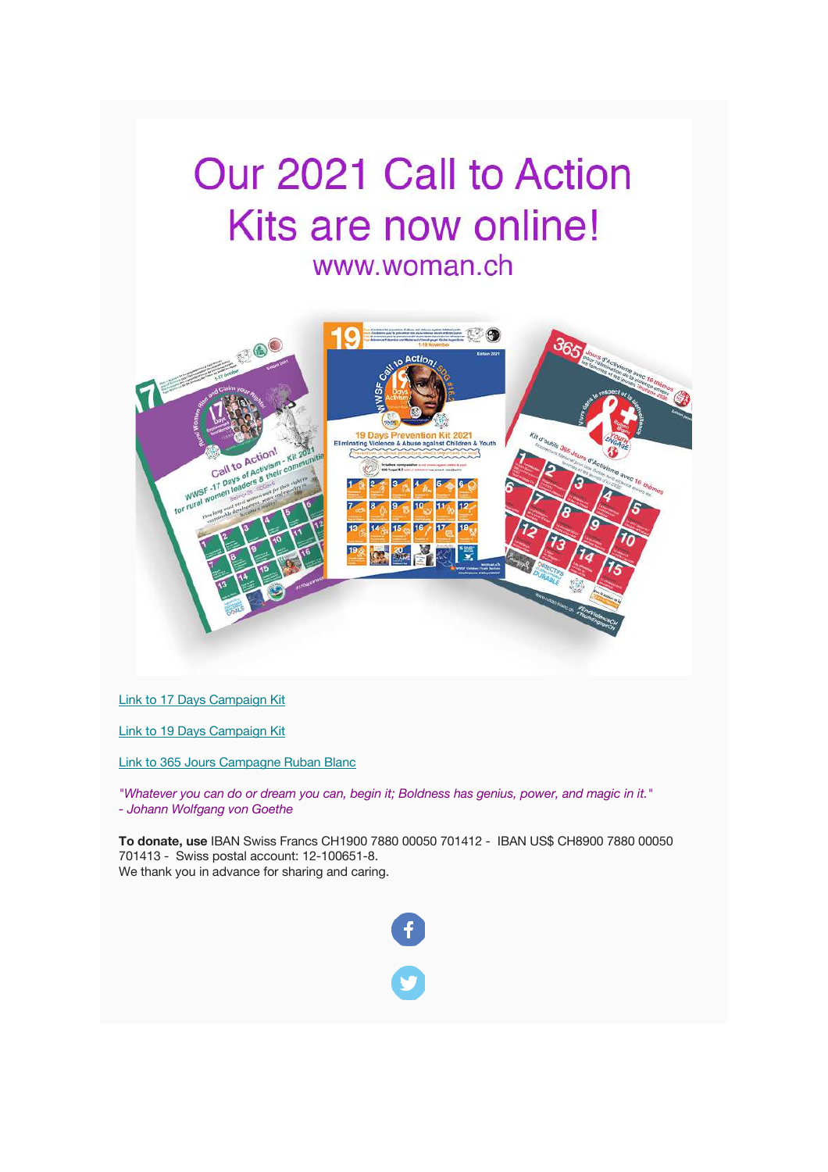## Our 2021 Call to Action Kits are now online! www.woman.ch

# **BOOT** 365 Elimina se aga Call to Action! Call to Action!<br>Call to Activism<br>- 17 Days of Activism WW<sub>5F</sub>

Link to 17 Days Campaign Kit

Link to 19 Days Campaign Kit

Link to 365 Jours Campagne Ruban Blanc

*"Whatever you can do or dream you can, begin it; Boldness has genius, power, and magic in it." - Johann Wolfgang von Goethe*

**To donate, use** IBAN Swiss Francs CH1900 7880 00050 701412 - IBAN US\$ CH8900 7880 00050 701413 - Swiss postal account: 12-100651-8. We thank you in advance for sharing and caring.